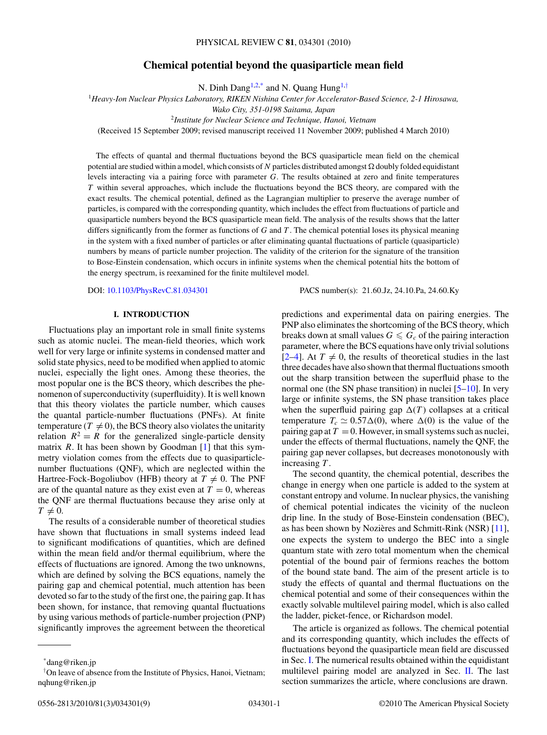# **Chemical potential beyond the quasiparticle mean field**

N. Dinh Dang<sup>1,2,\*</sup> and N. Quang Hung<sup>1,†</sup>

<span id="page-0-0"></span><sup>1</sup>*Heavy-Ion Nuclear Physics Laboratory, RIKEN Nishina Center for Accelerator-Based Science, 2-1 Hirosawa,*

*Wako City, 351-0198 Saitama, Japan*

<sup>2</sup>*Institute for Nuclear Science and Technique, Hanoi, Vietnam*

(Received 15 September 2009; revised manuscript received 11 November 2009; published 4 March 2010)

The effects of quantal and thermal fluctuations beyond the BCS quasiparticle mean field on the chemical potential are studied within a model, which consists of N particles distributed amongst  $\Omega$  doubly folded equidistant levels interacting via a pairing force with parameter *G*. The results obtained at zero and finite temperatures *T* within several approaches, which include the fluctuations beyond the BCS theory, are compared with the exact results. The chemical potential, defined as the Lagrangian multiplier to preserve the average number of particles, is compared with the corresponding quantity, which includes the effect from fluctuations of particle and quasiparticle numbers beyond the BCS quasiparticle mean field. The analysis of the results shows that the latter differs significantly from the former as functions of *G* and *T* . The chemical potential loses its physical meaning in the system with a fixed number of particles or after eliminating quantal fluctuations of particle (quasiparticle) numbers by means of particle number projection. The validity of the criterion for the signature of the transition to Bose-Einstein condensation, which occurs in infinite systems when the chemical potential hits the bottom of the energy spectrum, is reexamined for the finite multilevel model.

DOI: [10.1103/PhysRevC.81.034301](http://dx.doi.org/10.1103/PhysRevC.81.034301) PACS number(s): 21*.*60*.*Jz, 24*.*10*.*Pa, 24*.*60*.*Ky

## **I. INTRODUCTION**

Fluctuations play an important role in small finite systems such as atomic nuclei. The mean-field theories, which work well for very large or infinite systems in condensed matter and solid state physics, need to be modified when applied to atomic nuclei, especially the light ones. Among these theories, the most popular one is the BCS theory, which describes the phenomenon of superconductivity (superfluidity). It is well known that this theory violates the particle number, which causes the quantal particle-number fluctuations (PNFs). At finite temperature  $(T \neq 0)$ , the BCS theory also violates the unitarity relation  $R^2 = R$  for the generalized single-particle density matrix *R*. It has been shown by Goodman [\[1\]](#page-8-0) that this symmetry violation comes from the effects due to quasiparticlenumber fluctuations (QNF), which are neglected within the Hartree-Fock-Bogoliubov (HFB) theory at  $T \neq 0$ . The PNF are of the quantal nature as they exist even at  $T = 0$ , whereas the QNF are thermal fluctuations because they arise only at  $T \neq 0$ .

The results of a considerable number of theoretical studies have shown that fluctuations in small systems indeed lead to significant modifications of quantities, which are defined within the mean field and/or thermal equilibrium, where the effects of fluctuations are ignored. Among the two unknowns, which are defined by solving the BCS equations, namely the pairing gap and chemical potential, much attention has been devoted so far to the study of the first one, the pairing gap. It has been shown, for instance, that removing quantal fluctuations by using various methods of particle-number projection (PNP) significantly improves the agreement between the theoretical predictions and experimental data on pairing energies. The PNP also eliminates the shortcoming of the BCS theory, which breaks down at small values  $G \leq G_c$  of the pairing interaction parameter, where the BCS equations have only trivial solutions  $[2-4]$ . At  $T \neq 0$ , the results of theoretical studies in the last three decades have also shown that thermal fluctuations smooth out the sharp transition between the superfluid phase to the normal one (the SN phase transition) in nuclei [\[5–10\]](#page-8-0). In very large or infinite systems, the SN phase transition takes place when the superfluid pairing gap  $\Delta(T)$  collapses at a critical temperature  $T_c \simeq 0.57\Delta(0)$ , where  $\Delta(0)$  is the value of the pairing gap at  $T = 0$ . However, in small systems such as nuclei, under the effects of thermal fluctuations, namely the QNF, the pairing gap never collapses, but decreases monotonously with increasing *T* .

The second quantity, the chemical potential, describes the change in energy when one particle is added to the system at constant entropy and volume. In nuclear physics, the vanishing of chemical potential indicates the vicinity of the nucleon drip line. In the study of Bose-Einstein condensation (BEC), as has been shown by Nozieres and Schmitt-Rink  $(NSR)$  [[11\]](#page-8-0), one expects the system to undergo the BEC into a single quantum state with zero total momentum when the chemical potential of the bound pair of fermions reaches the bottom of the bound state band. The aim of the present article is to study the effects of quantal and thermal fluctuations on the chemical potential and some of their consequences within the exactly solvable multilevel pairing model, which is also called the ladder, picket-fence, or Richardson model.

The article is organized as follows. The chemical potential and its corresponding quantity, which includes the effects of fluctuations beyond the quasiparticle mean field are discussed in Sec. I. The numerical results obtained within the equidistant multilevel pairing model are analyzed in Sec. [II.](#page-1-0) The last section summarizes the article, where conclusions are drawn.

<sup>\*</sup>dang@riken.jp

<sup>†</sup> On leave of absence from the Institute of Physics, Hanoi, Vietnam; nqhung@riken.jp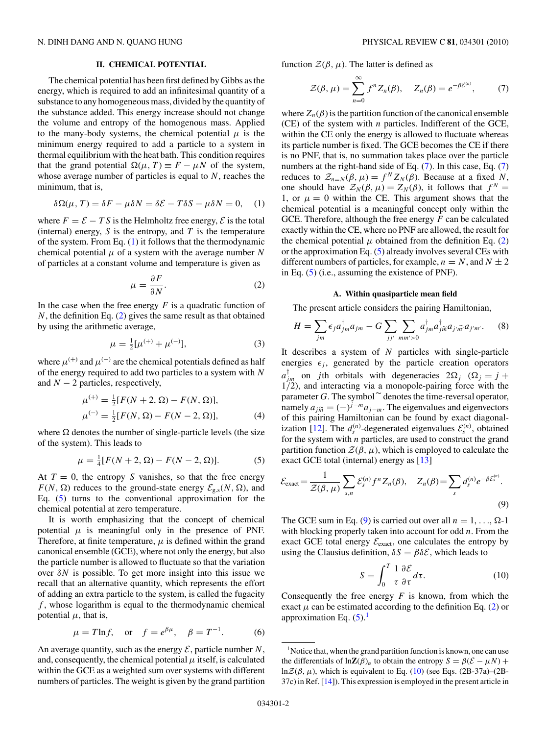#### **II. CHEMICAL POTENTIAL**

<span id="page-1-0"></span>The chemical potential has been first defined by Gibbs as the energy, which is required to add an infinitesimal quantity of a substance to any homogeneous mass, divided by the quantity of the substance added. This energy increase should not change the volume and entropy of the homogenous mass. Applied to the many-body systems, the chemical potential  $\mu$  is the minimum energy required to add a particle to a system in thermal equilibrium with the heat bath. This condition requires that the grand potential  $\Omega(\mu, T) \equiv F - \mu N$  of the system, whose average number of particles is equal to *N*, reaches the minimum, that is,

$$
\delta\Omega(\mu, T) = \delta F - \mu \delta N = \delta \mathcal{E} - T\delta S - \mu \delta N = 0, \quad (1)
$$

where  $F = \mathcal{E} - TS$  is the Helmholtz free energy,  $\mathcal{E}$  is the total (internal) energy,  $S$  is the entropy, and  $T$  is the temperature of the system. From Eq. (1) it follows that the thermodynamic chemical potential  $\mu$  of a system with the average number N of particles at a constant volume and temperature is given as

$$
\mu = \frac{\partial F}{\partial N}.\tag{2}
$$

In the case when the free energy  $F$  is a quadratic function of *N*, the definition Eq. (2) gives the same result as that obtained by using the arithmetic average,

$$
\mu = \frac{1}{2} [\mu^{(+)} + \mu^{(-)}],\tag{3}
$$

where  $\mu^{(+)}$  and  $\mu^{(-)}$  are the chemical potentials defined as half of the energy required to add two particles to a system with *N* and  $N - 2$  particles, respectively,

$$
\mu^{(+)} = \frac{1}{2} [F(N + 2, \Omega) - F(N, \Omega)],
$$
  
\n
$$
\mu^{(-)} = \frac{1}{2} [F(N, \Omega) - F(N - 2, \Omega)],
$$
\n(4)

where  $\Omega$  denotes the number of single-particle levels (the size of the system). This leads to

$$
\mu = \frac{1}{4} [F(N+2, \Omega) - F(N-2, \Omega)].
$$
 (5)

At  $T = 0$ , the entropy *S* vanishes, so that the free energy  $F(N, \Omega)$  reduces to the ground-state energy  $\mathcal{E}_{g,s}(N, \Omega)$ , and Eq. (5) turns to the conventional approximation for the chemical potential at zero temperature.

It is worth emphasizing that the concept of chemical potential  $\mu$  is meaningful only in the presence of PNF. Therefore, at finite temperature,  $\mu$  is defined within the grand canonical ensemble (GCE), where not only the energy, but also the particle number is allowed to fluctuate so that the variation over *δN* is possible. To get more insight into this issue we recall that an alternative quantity, which represents the effort of adding an extra particle to the system, is called the fugacity *f* , whose logarithm is equal to the thermodynamic chemical potential  $\mu$ , that is,

$$
\mu = T \ln f, \quad \text{or} \quad f = e^{\beta \mu}, \quad \beta = T^{-1}.
$$
 (6)

An average quantity, such as the energy  $\mathcal{E}$ , particle number  $N$ , and, consequently, the chemical potential  $\mu$  itself, is calculated within the GCE as a weighted sum over systems with different numbers of particles. The weight is given by the grand partition

function  $\mathcal{Z}(\beta, \mu)$ . The latter is defined as

$$
\mathcal{Z}(\beta,\mu) = \sum_{n=0}^{\infty} f^n Z_n(\beta), \quad Z_n(\beta) = e^{-\beta \mathcal{E}^{(n)}}, \quad (7)
$$

where  $Z_n(\beta)$  is the partition function of the canonical ensemble (CE) of the system with *n* particles. Indifferent of the GCE, within the CE only the energy is allowed to fluctuate whereas its particle number is fixed. The GCE becomes the CE if there is no PNF, that is, no summation takes place over the particle numbers at the right-hand side of Eq. (7). In this case, Eq. (7) reduces to  $\mathcal{Z}_{n=N}(\beta,\mu) = f^N Z_N(\beta)$ . Because at a fixed *N*, one should have  $\mathcal{Z}_N(\beta,\mu) = Z_N(\beta)$ , it follows that  $f^N =$ 1, or  $\mu = 0$  within the CE. This argument shows that the chemical potential is a meaningful concept only within the GCE. Therefore, although the free energy *F* can be calculated exactly within the CE, where no PNF are allowed, the result for the chemical potential  $\mu$  obtained from the definition Eq. (2) or the approximation Eq. (5) already involves several CEs with different numbers of particles, for example,  $n = N$ , and  $N \pm 2$ in Eq. (5) (i.e., assuming the existence of PNF).

#### **A. Within quasiparticle mean field**

The present article considers the pairing Hamiltonian,

$$
H = \sum_{jm} \epsilon_j a_{jm}^{\dagger} a_{jm} - G \sum_{jj'} \sum_{mm' > 0} a_{jm}^{\dagger} a_{jm}^{\dagger} a_{j'm'} a_{j'm'}.
$$
 (8)

It describes a system of *N* particles with single-particle energies  $\epsilon_i$ , generated by the particle creation operators  $a_{jm}^{\dagger}$  on *j*th orbitals with degeneracies  $2\Omega_j$  ( $\Omega_j = j + j$ 1*/*2), and interacting via a monopole-pairing force with the parameter *G*. The symbol  $\tilde{ }$  denotes the time-reversal operator,<br>namely  $\tilde{ }$ namely  $a_{j\tilde{m}} = (-)^{j-m} a_{j-m}$ . The eigenvalues and eigenvectors of this pairing Hamiltonian can be found by exact diagonal-ization [\[12\]](#page-8-0). The  $d_s^{(n)}$ -degenerated eigenvalues  $\mathcal{E}_s^{(n)}$ , obtained for the system with *n* particles, are used to construct the grand partition function  $\mathcal{Z}(\beta,\mu)$ , which is employed to calculate the exact GCE total (internal) energy as [\[13\]](#page-8-0)

$$
\mathcal{E}_{\text{exact}} = \frac{1}{\mathcal{Z}(\beta, \mu)} \sum_{s,n} \mathcal{E}_s^{(n)} f^n Z_n(\beta), \quad Z_n(\beta) = \sum_s d_s^{(n)} e^{-\beta \mathcal{E}_s^{(n)}}.
$$
\n(9)

The GCE sum in Eq. (9) is carried out over all  $n = 1, \ldots, \Omega$ -1 with blocking properly taken into account for odd *n*. From the exact GCE total energy  $\mathcal{E}_{\text{exact}}$ , one calculates the entropy by using the Clausius definition,  $\delta S = \beta \delta \mathcal{E}$ , which leads to

$$
S = \int_0^T \frac{1}{\tau} \frac{\partial \mathcal{E}}{\partial \tau} d\tau.
$$
 (10)

Consequently the free energy  $F$  is known, from which the exact  $\mu$  can be estimated according to the definition Eq. (2) or approximation Eq.  $(5)$ .<sup>1</sup>

<sup>&</sup>lt;sup>1</sup>Notice that, when the grand partition function is known, one can use the differentials of  $\ln Z(\beta)$ <sup>*α*</sup> to obtain the entropy  $S = \beta(\mathcal{E} - \mu N) +$ ln $\mathcal{Z}(\beta,\mu)$ , which is equivalent to Eq. (10) (see Eqs. (2B-37a)–(2B-37c) in Ref. [\[14\]](#page-8-0)). This expression is employed in the present article in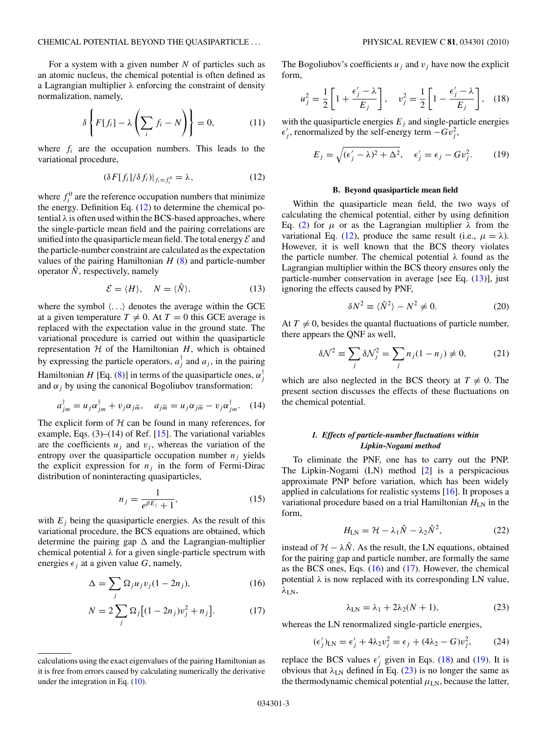<span id="page-2-0"></span>For a system with a given number *N* of particles such as an atomic nucleus, the chemical potential is often defined as a Lagrangian multiplier *λ* enforcing the constraint of density normalization, namely,

$$
\delta \left\{ F[f_i] - \lambda \left( \sum_i f_i - N \right) \right\} = 0, \tag{11}
$$

where  $f_i$  are the occupation numbers. This leads to the variational procedure,

$$
(\delta F[f_i]/\delta f_i)|_{f_i = f_i^0} = \lambda, \qquad (12)
$$

where  $f_i^0$  are the reference occupation numbers that minimize the energy. Definition Eq.  $(12)$  to determine the chemical potential  $\lambda$  is often used within the BCS-based approaches, where the single-particle mean field and the pairing correlations are unified into the quasiparticle mean field. The total energy  $\mathcal E$  and the particle-number constraint are calculated as the expectation values of the pairing Hamiltonian  $H(8)$  $H(8)$  and particle-number operator  $\hat{N}$ , respectively, namely

$$
\mathcal{E} = \langle H \rangle, \quad N = \langle \hat{N} \rangle, \tag{13}
$$

where the symbol  $\langle \ldots \rangle$  denotes the average within the GCE at a given temperature  $T \neq 0$ . At  $T = 0$  this GCE average is replaced with the expectation value in the ground state. The variational procedure is carried out within the quasiparticle representation  $H$  of the Hamiltonian  $H$ , which is obtained by expressing the particle operators,  $a_j^{\dagger}$  and  $a_j$ , in the pairing Hamiltonian *H* [Eq. [\(8\)](#page-1-0)] in terms of the quasiparticle ones,  $\alpha_j^{\dagger}$ and  $\alpha_i$  by using the canonical Bogoliubov transformation:

$$
a_{jm}^{\dagger} = u_j \alpha_{jm}^{\dagger} + v_j \alpha_{jm}, \quad a_{j\widetilde{m}} = u_j \alpha_{jm} - v_j \alpha_{jm}^{\dagger}.
$$
 (14)

The explicit form of  $H$  can be found in many references, for example, Eqs.  $(3)$ – $(14)$  of Ref. [\[15\]](#page-8-0). The variational variables are the coefficients  $u_j$  and  $v_j$ , whereas the variation of the entropy over the quasiparticle occupation number  $n_j$  yields the explicit expression for  $n_j$  in the form of Fermi-Dirac distribution of noninteracting quasiparticles,

$$
n_j = \frac{1}{e^{\beta E_j} + 1},\tag{15}
$$

with  $E_j$  being the quasiparticle energies. As the result of this variational procedure, the BCS equations are obtained, which determine the pairing gap  $\Delta$  and the Lagrangian-multiplier chemical potential *λ* for a given single-particle spectrum with energies  $\epsilon_i$  at a given value *G*, namely,

$$
\Delta = \sum_{j} \Omega_j u_j v_j (1 - 2n_j),\tag{16}
$$

$$
N = 2\sum_{j} \Omega_{j} \left[ (1 - 2n_{j})v_{j}^{2} + n_{j} \right].
$$
 (17)

The Bogoliubov's coefficients  $u_i$  and  $v_j$  have now the explicit form,

$$
u_j^2 = \frac{1}{2} \left[ 1 + \frac{\epsilon_j' - \lambda}{E_j} \right], \quad v_j^2 = \frac{1}{2} \left[ 1 - \frac{\epsilon_j' - \lambda}{E_j} \right], \quad (18)
$$

with the quasiparticle energies  $E_j$  and single-particle energies  $\epsilon'_{j}$ , renormalized by the self-energy term  $-Gv_j^2$ ,

$$
E_j = \sqrt{(\epsilon_j' - \lambda)^2 + \Delta^2}, \quad \epsilon_j' = \epsilon_j - Gv_j^2. \tag{19}
$$

#### **B. Beyond quasiparticle mean field**

Within the quasiparticle mean field, the two ways of calculating the chemical potential, either by using definition Eq. [\(2\)](#page-1-0) for *µ* or as the Lagrangian multiplier *λ* from the variational Eq. (12), produce the same result (i.e.,  $\mu = \lambda$ ). However, it is well known that the BCS theory violates the particle number. The chemical potential *λ* found as the Lagrangian multiplier within the BCS theory ensures only the particle-number conservation in average [see Eq. (13)], just ignoring the effects caused by PNF,

$$
\delta N^2 \equiv \langle \hat{N}^2 \rangle - N^2 \neq 0. \tag{20}
$$

At  $T \neq 0$ , besides the quantal fluctuations of particle number, there appears the QNF as well,

$$
\delta \mathcal{N}^2 \equiv \sum_j \delta \mathcal{N}_j^2 = \sum_j n_j (1 - n_j) \neq 0,
$$
 (21)

which are also neglected in the BCS theory at  $T \neq 0$ . The present section discusses the effects of these fluctuations on the chemical potential.

## *1. Effects of particle-number fluctuations within Lipkin-Nogami method*

To eliminate the PNF, one has to carry out the PNP. The Lipkin-Nogami  $(LN)$  method  $[2]$  is a perspicacious approximate PNP before variation, which has been widely applied in calculations for realistic systems [\[16\]](#page-8-0). It proposes a variational procedure based on a trial Hamiltonian  $H_{LN}$  in the form,

$$
H_{\rm LN} = \mathcal{H} - \lambda_1 \hat{N} - \lambda_2 \hat{N}^2,\tag{22}
$$

instead of  $H - \lambda \hat{N}$ . As the result, the LN equations, obtained for the pairing gap and particle number, are formally the same as the BCS ones, Eqs.  $(16)$  and  $(17)$ . However, the chemical potential  $\lambda$  is now replaced with its corresponding LN value, *λ*LN,

$$
\lambda_{LN} = \lambda_1 + 2\lambda_2 (N+1),\tag{23}
$$

whereas the LN renormalized single-particle energies,

$$
(\epsilon'_j)_{\text{LN}} = \epsilon'_j + 4\lambda_2 v_j^2 = \epsilon_j + (4\lambda_2 - G)v_j^2, \qquad (24)
$$

replace the BCS values  $\epsilon'_j$  given in Eqs. (18) and (19). It is obvious that  $λ$ <sub>LN</sub> defined in Eq. (23) is no longer the same as the thermodynamic chemical potential  $\mu_{LN}$ , because the latter,

calculations using the exact eigenvalues of the pairing Hamiltonian as it is free from errors caused by calculating numerically the derivative under the integration in Eq. [\(10\)](#page-1-0).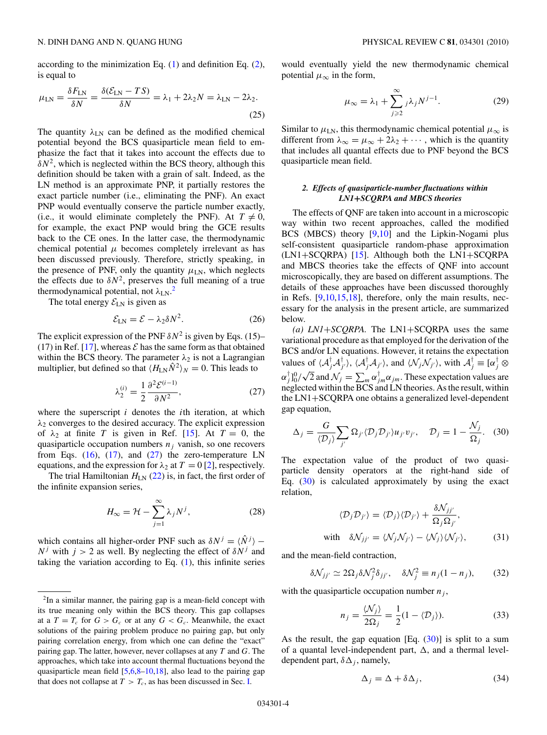<span id="page-3-0"></span>according to the minimization Eq.  $(1)$  and definition Eq.  $(2)$ , is equal to

$$
\mu_{LN} = \frac{\delta F_{LN}}{\delta N} = \frac{\delta (\mathcal{E}_{LN} - TS)}{\delta N} = \lambda_1 + 2\lambda_2 N = \lambda_{LN} - 2\lambda_2.
$$
\n(25)

The quantity  $\lambda_{LN}$  can be defined as the modified chemical potential beyond the BCS quasiparticle mean field to emphasize the fact that it takes into account the effects due to  $\delta N^2$ , which is neglected within the BCS theory, although this definition should be taken with a grain of salt. Indeed, as the LN method is an approximate PNP, it partially restores the exact particle number (i.e., eliminating the PNF). An exact PNP would eventually conserve the particle number exactly, (i.e., it would eliminate completely the PNF). At  $T \neq 0$ , for example, the exact PNP would bring the GCE results back to the CE ones. In the latter case, the thermodynamic chemical potential  $\mu$  becomes completely irrelevant as has been discussed previously. Therefore, strictly speaking, in the presence of PNF, only the quantity  $\mu_{LN}$ , which neglects the effects due to  $\delta N^2$ , preserves the full meaning of a true thermodynamical potential, not *λ*LN. 2

The total energy  $\mathcal{E}_{LN}$  is given as

$$
\mathcal{E}_{LN} = \mathcal{E} - \lambda_2 \delta N^2. \tag{26}
$$

The explicit expression of the PNF  $\delta N^2$  is given by Eqs. (15)– (17) in Ref. [\[17\]](#page-8-0), whereas  $\mathcal E$  has the same form as that obtained within the BCS theory. The parameter  $\lambda_2$  is not a Lagrangian multiplier, but defined so that  $\langle H_{LN} \hat{N}^2 \rangle_N = 0$ . This leads to

$$
\lambda_2^{(i)} = \frac{1}{2} \frac{\partial^2 \mathcal{E}^{(i-1)}}{\partial N^2},\tag{27}
$$

where the superscript *i* denotes the *i*th iteration, at which *λ*<sup>2</sup> converges to the desired accuracy. The explicit expression of  $\lambda_2$  at finite *T* is given in Ref. [\[15\]](#page-8-0). At  $T = 0$ , the quasiparticle occupation numbers  $n_j$  vanish, so one recovers from Eqs.  $(16)$ ,  $(17)$ , and  $(27)$  the zero-temperature LN equations, and the expression for  $\lambda_2$  at  $T = 0$  [\[2\]](#page-8-0), respectively.

The trial Hamiltonian  $H_{LN}$  [\(22\)](#page-2-0) is, in fact, the first order of the infinite expansion series,

$$
H_{\infty} = \mathcal{H} - \sum_{j=1}^{\infty} \lambda_j N^j,
$$
 (28)

which contains all higher-order PNF such as  $\delta N^{j} = \langle \hat{N}^{j} \rangle$  –  $N^j$  with  $j > 2$  as well. By neglecting the effect of  $\delta N^j$  and taking the variation according to Eq.  $(1)$ , this infinite series would eventually yield the new thermodynamic chemical potential  $\mu_{\infty}$  in the form,

$$
\mu_{\infty} = \lambda_1 + \sum_{j \geqslant 2}^{\infty} j \lambda_j N^{j-1}.
$$
 (29)

Similar to  $\mu_{LN}$ , this thermodynamic chemical potential  $\mu_{\infty}$  is different from  $\lambda_{\infty} = \mu_{\infty} + 2\lambda_2 + \cdots$ , which is the quantity that includes all quantal effects due to PNF beyond the BCS quasiparticle mean field.

## *2. Effects of quasiparticle-number fluctuations within LN1***+***SCQRPA and MBCS theories*

The effects of QNF are taken into account in a microscopic way within two recent approaches, called the modified BCS (MBCS) theory [\[9,10\]](#page-8-0) and the Lipkin-Nogami plus self-consistent quasiparticle random-phase approximation (LN1+SCQRPA) [\[15\]](#page-8-0). Although both the LN1+SCQRPA and MBCS theories take the effects of QNF into account microscopically, they are based on different assumptions. The details of these approaches have been discussed thoroughly in Refs. [\[9,10,15,18\]](#page-8-0), therefore, only the main results, necessary for the analysis in the present article, are summarized below.

*(a) LN1*+*SCQRPA.* The LN1+SCQRPA uses the same variational procedure as that employed for the derivation of the BCS and/or LN equations. However, it retains the expectation values of  $\langle A_j^{\dagger} A_j^{\dagger} \rangle$ ,  $\langle A_j^{\dagger} A_{j'} \rangle$ , and  $\langle \mathcal{N}_j \mathcal{N}_{j'} \rangle$ , with  $A_j^{\dagger} \equiv [\alpha_j^{\dagger} \otimes$  $\alpha_j^{\dagger}$  ]<sup>0</sup>/ $\sqrt{2}$  and  $\mathcal{N}_j = \sum_{m}^{\infty} \alpha_j^{\dagger} m \alpha_j m$ . These expectation values are neglected within the BCS and LN theories. As the result, within the LN1+SCQRPA one obtains a generalized level-dependent gap equation,

$$
\Delta_j = \frac{G}{\langle \mathcal{D}_j \rangle} \sum_{j'} \Omega_{j'} \langle \mathcal{D}_j \mathcal{D}_{j'} \rangle u_{j'} v_{j'}, \quad \mathcal{D}_j = 1 - \frac{\mathcal{N}_j}{\Omega_j}.
$$
 (30)

The expectation value of the product of two quasiparticle density operators at the right-hand side of Eq. (30) is calculated approximately by using the exact relation,

$$
\langle \mathcal{D}_j \mathcal{D}_{j'} \rangle = \langle \mathcal{D}_j \rangle \langle \mathcal{D}_{j'} \rangle + \frac{\delta \mathcal{N}_{jj'}}{\Omega_j \Omega_{j'}},
$$
  
with  $\delta \mathcal{N}_{jj'} = \langle \mathcal{N}_j \mathcal{N}_{j'} \rangle - \langle \mathcal{N}_j \rangle \langle \mathcal{N}_{j'} \rangle,$  (31)

and the mean-field contraction,

$$
\delta \mathcal{N}_{jj'} \simeq 2\Omega_j \delta \mathcal{N}_j^2 \delta_{jj'}, \quad \delta \mathcal{N}_j^2 \equiv n_j (1 - n_j), \qquad (32)
$$

with the quasiparticle occupation number  $n_j$ ,

$$
n_j = \frac{\langle \mathcal{N}_j \rangle}{2\Omega_j} = \frac{1}{2}(1 - \langle \mathcal{D}_j \rangle). \tag{33}
$$

As the result, the gap equation [Eq.  $(30)$ ] is split to a sum of a quantal level-independent part,  $\Delta$ , and a thermal leveldependent part,  $\delta \Delta_j$ , namely,

$$
\Delta_j = \Delta + \delta \Delta_j, \tag{34}
$$

<sup>2</sup>In a similar manner, the pairing gap is a mean-field concept with its true meaning only within the BCS theory. This gap collapses at a  $T = T_c$  for  $G > G_c$  or at any  $G < G_c$ . Meanwhile, the exact solutions of the pairing problem produce no pairing gap, but only pairing correlation energy, from which one can define the "exact" pairing gap. The latter, however, never collapses at any *T* and *G*. The approaches, which take into account thermal fluctuations beyond the quasiparticle mean field  $[5,6,8-10,18]$ , also lead to the pairing gap that does not collapse at  $T > T_c$ , as has been discussed in Sec. [I.](#page-0-0)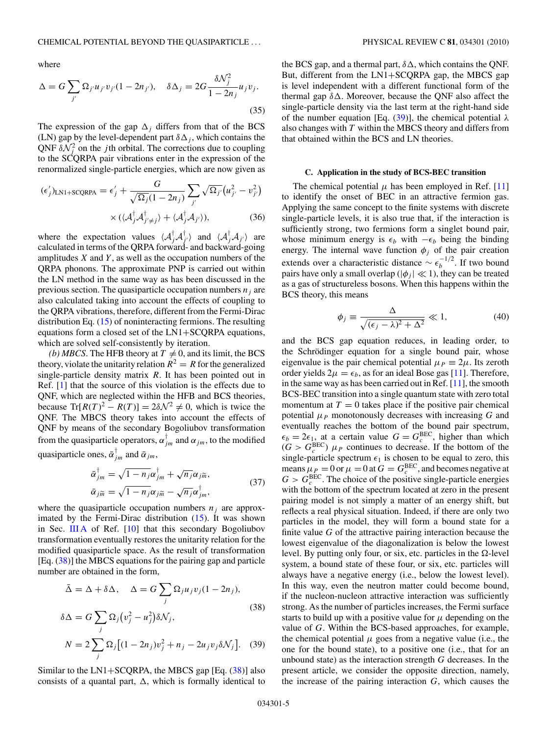<span id="page-4-0"></span>where

$$
\Delta = G \sum_{j'} \Omega_{j'} u_{j'} v_{j'} (1 - 2n_{j'}), \quad \delta \Delta_j = 2G \frac{\delta \mathcal{N}_j^2}{1 - 2n_j} u_j v_j.
$$
\n(35)

The expression of the gap  $\Delta_j$  differs from that of the BCS (LN) gap by the level-dependent part  $\delta \Delta_j$ , which contains the QNF  $\delta N_i^2$  on the *j*th orbital. The corrections due to coupling to the SCQRPA pair vibrations enter in the expression of the renormalized single-particle energies, which are now given as

$$
(\epsilon'_j)_{\text{LN1+SCQRPA}} = \epsilon'_j + \frac{G}{\sqrt{\Omega_j}(1 - 2n_j)} \sum_{j'} \sqrt{\Omega_{j'}} \left(u_{j'}^2 - v_{j'}^2\right) \times \left(\langle \mathcal{A}_j^{\dagger} \mathcal{A}_{j' \neq j}^{\dagger}\right) + \langle \mathcal{A}_j^{\dagger} \mathcal{A}_{j'}\rangle\right), \tag{36}
$$

where the expectation values  $\langle A_j^{\dagger} A_{j'}^{\dagger} \rangle$  and  $\langle A_j^{\dagger} A_{j'} \rangle$  are calculated in terms of the QRPA forward- and backward-going amplitudes *X* and *Y* , as well as the occupation numbers of the QRPA phonons. The approximate PNP is carried out within the LN method in the same way as has been discussed in the previous section. The quasiparticle occupation numbers  $n_i$  are also calculated taking into account the effects of coupling to the QRPA vibrations, therefore, different from the Fermi-Dirac distribution Eq. [\(15\)](#page-2-0) of noninteracting fermions. The resulting equations form a closed set of the LN1+SCQRPA equations, which are solved self-consistently by iteration.

*(b) MBCS*. The HFB theory at  $T \neq 0$ , and its limit, the BCS theory, violate the unitarity relation  $R^2 = R$  for the generalized single-particle density matrix *R*. It has been pointed out in Ref. [\[1\]](#page-8-0) that the source of this violation is the effects due to QNF, which are neglected within the HFB and BCS theories, because  $Tr[R(T)^{2} - R(T)] = 2\delta\mathcal{N}^{2} \neq 0$ , which is twice the QNF. The MBCS theory takes into account the effects of QNF by means of the secondary Bogoliubov transformation from the quasiparticle operators,  $\alpha_{jm}^{\dagger}$  and  $\alpha_{jm}$ , to the modified quasiparticle ones,  $\bar{\alpha}_{jm}^{\dagger}$  and  $\bar{\alpha}_{jm}$ ,

$$
\bar{\alpha}_{jm}^{\dagger} = \sqrt{1 - n_j} \alpha_{jm}^{\dagger} + \sqrt{n_j} \alpha_{jm},
$$
  
\n
$$
\bar{\alpha}_{j\tilde{m}} = \sqrt{1 - n_j} \alpha_{j\tilde{m}} - \sqrt{n_j} \alpha_{jm}^{\dagger},
$$
\n(37)

where the quasiparticle occupation numbers  $n_i$  are approximated by the Fermi-Dirac distribution  $(15)$ . It was shown in Sec. [III A](#page-5-0) of Ref. [\[10\]](#page-8-0) that this secondary Bogoliubov transformation eventually restores the unitarity relation for the modified quasiparticle space. As the result of transformation [Eq. (38)] the MBCS equations for the pairing gap and particle number are obtained in the form,

$$
\bar{\Delta} = \Delta + \delta \Delta, \quad \Delta = G \sum_{j} \Omega_{j} u_{j} v_{j} (1 - 2n_{j}),
$$
  
\n
$$
\delta \Delta = G \sum_{j} \Omega_{j} (v_{j}^{2} - u_{j}^{2}) \delta \mathcal{N}_{j},
$$
  
\n
$$
N = 2 \sum_{j} \Omega_{j} [(1 - 2n_{j}) v_{j}^{2} + n_{j} - 2u_{j} v_{j} \delta \mathcal{N}_{j}].
$$
 (39)

Similar to the  $LN1+SCQRPA$ , the MBCS gap [Eq.  $(38)$ ] also consists of a quantal part,  $\Delta$ , which is formally identical to

the BCS gap, and a thermal part, *δ-*, which contains the QNF. But, different from the LN1+SCQRPA gap, the MBCS gap is level independent with a different functional form of the thermal gap  $δΔ$ . Moreover, because the QNF also affect the single-particle density via the last term at the right-hand side of the number equation [Eq. (39)], the chemical potential *λ* also changes with *T* within the MBCS theory and differs from that obtained within the BCS and LN theories.

#### **C. Application in the study of BCS-BEC transition**

The chemical potential  $\mu$  has been employed in Ref. [\[11\]](#page-8-0) to identify the onset of BEC in an attractive fermion gas. Applying the same concept to the finite systems with discrete single-particle levels, it is also true that, if the interaction is sufficiently strong, two fermions form a singlet bound pair, whose minimum energy is  $\epsilon_b$  with  $-\epsilon_b$  being the binding energy. The internal wave function  $\phi_j$  of the pair creation extends over a characteristic distance  $\sim \epsilon_b^{-1/2}$ . If two bound pairs have only a small overlap ( $|\phi_i| \ll 1$ ), they can be treated as a gas of structureless bosons. When this happens within the BCS theory, this means

$$
\phi_j \equiv \frac{\Delta}{\sqrt{(\epsilon_j - \lambda)^2 + \Delta^2}} \ll 1,
$$
\n(40)

and the BCS gap equation reduces, in leading order, to the Schrödinger equation for a single bound pair, whose eigenvalue is the pair chemical potential  $\mu_P \equiv 2\mu$ . Its zeroth order yields  $2\mu = \epsilon_b$ , as for an ideal Bose gas [\[11\]](#page-8-0). Therefore, in the same way as has been carried out in Ref. [\[11\]](#page-8-0), the smooth BCS-BEC transition into a single quantum state with zero total momentum at  $T = 0$  takes place if the positive pair chemical potential  $\mu_P$  monotonously decreases with increasing G and eventually reaches the bottom of the bound pair spectrum,  $\epsilon_b = 2\epsilon_1$ , at a certain value  $G = G_c^{\text{BEC}}$ , higher than which  $(G > G_c^{\text{BEC}})$   $\mu_P$  continues to decrease. If the bottom of the single-particle spectrum  $\epsilon_1$  is chosen to be equal to zero, this means  $\mu_P = 0$  or  $\mu = 0$  at  $G = G_c^{\text{BEC}}$ , and becomes negative at  $G > G_c^{\text{BEC}}$ . The choice of the positive single-particle energies with the bottom of the spectrum located at zero in the present pairing model is not simply a matter of an energy shift, but reflects a real physical situation. Indeed, if there are only two particles in the model, they will form a bound state for a finite value *G* of the attractive pairing interaction because the lowest eigenvalue of the diagonalization is below the lowest level. By putting only four, or six, etc. particles in the  $\Omega$ -level system, a bound state of these four, or six, etc. particles will always have a negative energy (i.e., below the lowest level). In this way, even the neutron matter could become bound, if the nucleon-nucleon attractive interaction was sufficiently strong. As the number of particles increases, the Fermi surface starts to build up with a positive value for  $\mu$  depending on the value of *G*. Within the BCS-based approaches, for example, the chemical potential  $\mu$  goes from a negative value (i.e., the one for the bound state), to a positive one (i.e., that for an unbound state) as the interaction strength *G* decreases. In the present article, we consider the opposite direction, namely, the increase of the pairing interaction *G*, which causes the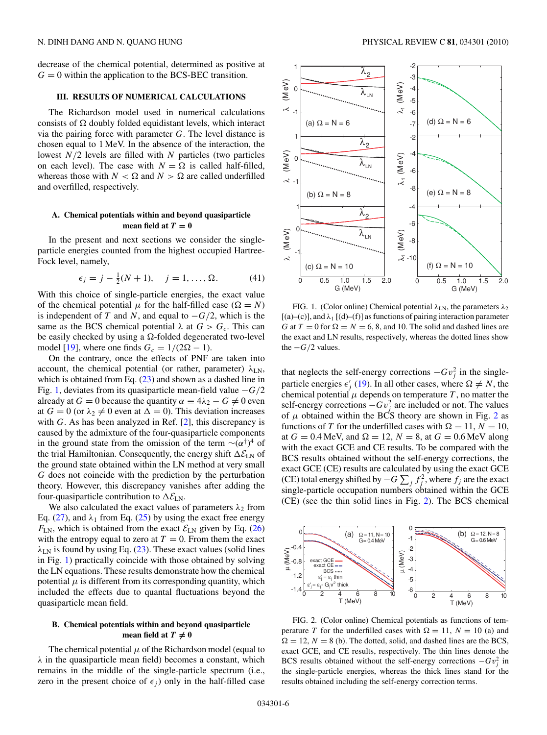<span id="page-5-0"></span>decrease of the chemical potential, determined as positive at  $G = 0$  within the application to the BCS-BEC transition.

# **III. RESULTS OF NUMERICAL CALCULATIONS**

The Richardson model used in numerical calculations consists of  $\Omega$  doubly folded equidistant levels, which interact via the pairing force with parameter *G*. The level distance is chosen equal to 1 MeV. In the absence of the interaction, the lowest *N/*2 levels are filled with *N* particles (two particles on each level). The case with  $N = \Omega$  is called half-filled, whereas those with  $N < \Omega$  and  $N > \Omega$  are called underfilled and overfilled, respectively.

## **A. Chemical potentials within and beyond quasiparticle** mean field at  $T = 0$

In the present and next sections we consider the singleparticle energies counted from the highest occupied Hartree-Fock level, namely,

$$
\epsilon_j = j - \frac{1}{2}(N+1), \quad j = 1, ..., \Omega.
$$
 (41)

With this choice of single-particle energies, the exact value of the chemical potential  $\mu$  for the half-filled case ( $\Omega = N$ ) is independent of *T* and *N*, and equal to  $-G/2$ , which is the same as the BCS chemical potential  $\lambda$  at  $G > G_c$ . This can be easily checked by using a  $\Omega$ -folded degenerated two-level model [\[19\]](#page-8-0), where one finds  $G_c = 1/(2\Omega - 1)$ .

On the contrary, once the effects of PNF are taken into account, the chemical potential (or rather, parameter)  $\lambda_{LN}$ , which is obtained from Eq.  $(23)$  and shown as a dashed line in Fig. 1, deviates from its quasiparticle mean-field value −*G/*2 already at  $G = 0$  because the quantity  $\alpha \equiv 4\lambda_2 - G \neq 0$  even at  $G = 0$  (or  $\lambda_2 \neq 0$  even at  $\Delta = 0$ ). This deviation increases with *G*. As has been analyzed in Ref. [\[2\]](#page-8-0), this discrepancy is caused by the admixture of the four-quasiparticle components in the ground state from the omission of the term  $\sim (\alpha^{\dagger})^4$  of the trial Hamiltonian. Consequently, the energy shift  $\Delta \mathcal{E}_{LN}$  of the ground state obtained within the LN method at very small *G* does not coincide with the prediction by the perturbation theory. However, this discrepancy vanishes after adding the four-quasiparticle contribution to  $\Delta \mathcal{E}_{LN}$ .

We also calculated the exact values of parameters  $\lambda_2$  from Eq. [\(27\)](#page-3-0), and  $\lambda_1$  from Eq. [\(25\)](#page-3-0) by using the exact free energy  $F_{LN}$ , which is obtained from the exact  $\mathcal{E}_{LN}$  given by Eq. [\(26\)](#page-3-0) with the entropy equal to zero at  $T = 0$ . From them the exact *λ*LN is found by using Eq. [\(23\)](#page-2-0). These exact values (solid lines in Fig. 1) practically coincide with those obtained by solving the LN equations. These results demonstrate how the chemical potential  $\mu$  is different from its corresponding quantity, which included the effects due to quantal fluctuations beyond the quasiparticle mean field.

## **B. Chemical potentials within and beyond quasiparticle mean field at**  $T \neq 0$

The chemical potential  $\mu$  of the Richardson model (equal to *λ* in the quasiparticle mean field) becomes a constant, which remains in the middle of the single-particle spectrum (i.e., zero in the present choice of  $\epsilon_i$ ) only in the half-filled case



FIG. 1. (Color online) Chemical potential  $λ$ <sub>LN</sub>, the parameters  $λ$ <sub>2</sub> [(a)–(c)], and *λ*<sup>1</sup> [(d)–(f)] as functions of pairing interaction parameter *G* at  $T = 0$  for  $\Omega = N = 6, 8,$  and 10. The solid and dashed lines are the exact and LN results, respectively, whereas the dotted lines show the  $-G/2$  values.

that neglects the self-energy corrections  $-Gv_j^2$  in the singleparticle energies  $\epsilon'_{j}$  [\(19\)](#page-2-0). In all other cases, where  $\Omega \neq N$ , the chemical potential  $\mu$  depends on temperature  $T$ , no matter the self-energy corrections  $-Gv_j^2$  are included or not. The values of  $\mu$  obtained within the BCS theory are shown in Fig. 2 as functions of *T* for the underfilled cases with  $\Omega = 11, N = 10$ , at  $G = 0.4$  MeV, and  $\Omega = 12$ ,  $N = 8$ , at  $G = 0.6$  MeV along with the exact GCE and CE results. To be compared with the BCS results obtained without the self-energy corrections, the exact GCE (CE) results are calculated by using the exact GCE (CE) total energy shifted by  $-G \sum_j f_j^2$ , where  $f_j$  are the exact single-particle occupation numbers obtained within the GCE (CE) (see the thin solid lines in Fig. 2). The BCS chemical



FIG. 2. (Color online) Chemical potentials as functions of temperature *T* for the underfilled cases with  $\Omega = 11$ ,  $N = 10$  (a) and  $\Omega = 12$ ,  $N = 8$  (b). The dotted, solid, and dashed lines are the BCS, exact GCE, and CE results, respectively. The thin lines denote the BCS results obtained without the self-energy corrections  $-Gv_j^2$  in the single-particle energies, whereas the thick lines stand for the results obtained including the self-energy correction terms.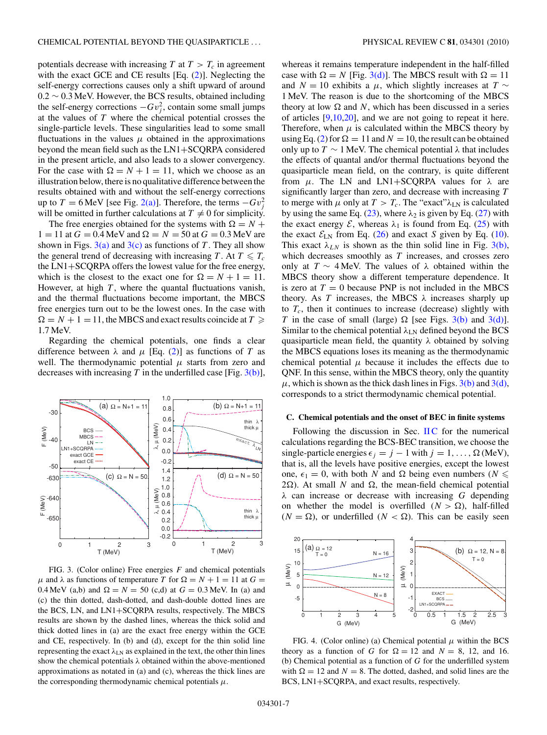potentials decrease with increasing  $T$  at  $T > T_c$  in agreement with the exact GCE and CE results [Eq. [\(2\)](#page-1-0)]. Neglecting the self-energy corrections causes only a shift upward of around 0.2 ∼ 0.3 MeV. However, the BCS results, obtained including the self-energy corrections  $-Gv_j^2$ , contain some small jumps at the values of *T* where the chemical potential crosses the single-particle levels. These singularities lead to some small fluctuations in the values  $\mu$  obtained in the approximations beyond the mean field such as the LN1+SCQRPA considered in the present article, and also leads to a slower convergency. For the case with  $\Omega = N + 1 = 11$ , which we choose as an illustration below, there is no qualitative difference between the results obtained with and without the self-energy corrections up to *T* = 6 MeV [see Fig. 2(a)]. Therefore, the terms  $-Gv_j^2$ will be omitted in further calculations at  $T \neq 0$  for simplicity.

The free energies obtained for the systems with  $\Omega = N +$  $1 = 11$  at  $G = 0.4$  MeV and  $\Omega = N = 50$  at  $G = 0.3$  MeV are shown in Figs.  $3(a)$  and  $3(c)$  as functions of *T*. They all show the general trend of decreasing with increasing *T*. At  $T \leq T_c$ the LN1+SCQRPA offers the lowest value for the free energy, which is the closest to the exact one for  $\Omega = N + 1 = 11$ . However, at high *T*, where the quantal fluctuations vanish, and the thermal fluctuations become important, the MBCS free energies turn out to be the lowest ones. In the case with  $\Omega = N + 1 = 11$ , the MBCS and exact results coincide at  $T \geq$ 1.7 MeV.

Regarding the chemical potentials, one finds a clear difference between  $\lambda$  and  $\mu$  [Eq. [\(2\)](#page-1-0)] as functions of *T* as well. The thermodynamic potential  $\mu$  starts from zero and decreases with increasing  $T$  in the underfilled case [Fig. 3(b)],



FIG. 3. (Color online) Free energies *F* and chemical potentials *μ* and *λ* as functions of temperature *T* for  $Ω = N + 1 = 11$  at  $G =$ 0.4 MeV (a,b) and  $\Omega = N = 50$  (c,d) at  $G = 0.3$  MeV. In (a) and (c) the thin dotted, dash-dotted, and dash-double dotted lines are the BCS, LN, and LN1+SCQRPA results, respectively. The MBCS results are shown by the dashed lines, whereas the thick solid and thick dotted lines in (a) are the exact free energy within the GCE and CE, respectively. In (b) and (d), except for the thin solid line representing the exact  $\lambda_{LN}$  as explained in the text, the other thin lines show the chemical potentials *λ* obtained within the above-mentioned approximations as notated in (a) and (c), whereas the thick lines are the corresponding thermodynamic chemical potentials  $\mu$ .

whereas it remains temperature independent in the half-filled case with  $\Omega = N$  [Fig. 3(d)]. The MBCS result with  $\Omega = 11$ and *N* = 10 exhibits a  $\mu$ , which slightly increases at *T* ∼ 1 MeV. The reason is due to the shortcoming of the MBCS theory at low  $\Omega$  and N, which has been discussed in a series of articles  $[9,10,20]$ , and we are not going to repeat it here. Therefore, when  $\mu$  is calculated within the MBCS theory by using Eq. [\(2\)](#page-1-0) for  $\Omega = 11$  and  $N = 10$ , the result can be obtained only up to  $T \sim 1$  MeV. The chemical potential  $\lambda$  that includes the effects of quantal and/or thermal fluctuations beyond the quasiparticle mean field, on the contrary, is quite different from  $\mu$ . The LN and LN1+SCQRPA values for  $\lambda$  are significantly larger than zero, and decrease with increasing *T* to merge with  $\mu$  only at  $T > T_c$ . The "exact" $\lambda_{LN}$  is calculated by using the same Eq. [\(23\)](#page-2-0), where  $\lambda_2$  is given by Eq. [\(27\)](#page-3-0) with the exact energy  $\mathcal{E}$ , whereas  $\lambda_1$  is found from Eq. [\(25\)](#page-3-0) with the exact  $\mathcal{E}_{LN}$  from Eq. [\(26\)](#page-3-0) and exact *S* given by Eq. [\(10\)](#page-1-0). This exact  $\lambda_{LN}$  is shown as the thin solid line in Fig. 3(b), which decreases smoothly as *T* increases, and crosses zero only at *T* ∼ 4 MeV. The values of *λ* obtained within the MBCS theory show a different temperature dependence. It is zero at  $T = 0$  because PNP is not included in the MBCS theory. As *T* increases, the MBCS  $\lambda$  increases sharply up to  $T_c$ , then it continues to increase (decrease) slightly with *T* in the case of small (large)  $\Omega$  [see Figs. 3(b) and 3(d)]. Similar to the chemical potential  $\lambda_{LN}$  defined beyond the BCS quasiparticle mean field, the quantity *λ* obtained by solving the MBCS equations loses its meaning as the thermodynamic chemical potential  $\mu$  because it includes the effects due to QNF. In this sense, within the MBCS theory, only the quantity  $\mu$ , which is shown as the thick dash lines in Figs. 3(b) and 3(d), corresponds to a strict thermodynamic chemical potential.

#### **C. Chemical potentials and the onset of BEC in finite systems**

Following the discussion in Sec.  $\Pi C$  for the numerical calculations regarding the BCS-BEC transition, we choose the single-particle energies  $\epsilon_j = j - 1$  with  $j = 1, \ldots, \Omega$  (MeV), that is, all the levels have positive energies, except the lowest one,  $\epsilon_1 = 0$ , with both *N* and  $\Omega$  being even numbers (*N*  $\leq$  $2\Omega$ ). At small *N* and  $\Omega$ , the mean-field chemical potential *λ* can increase or decrease with increasing *G* depending on whether the model is overfilled  $(N > \Omega)$ , half-filled  $(N = \Omega)$ , or underfilled  $(N < \Omega)$ . This can be easily seen



FIG. 4. (Color online) (a) Chemical potential  $\mu$  within the BCS theory as a function of *G* for  $\Omega = 12$  and *N* = 8, 12, and 16. (b) Chemical potential as a function of *G* for the underfilled system with  $\Omega = 12$  and  $N = 8$ . The dotted, dashed, and solid lines are the BCS, LN1+SCQRPA, and exact results, respectively.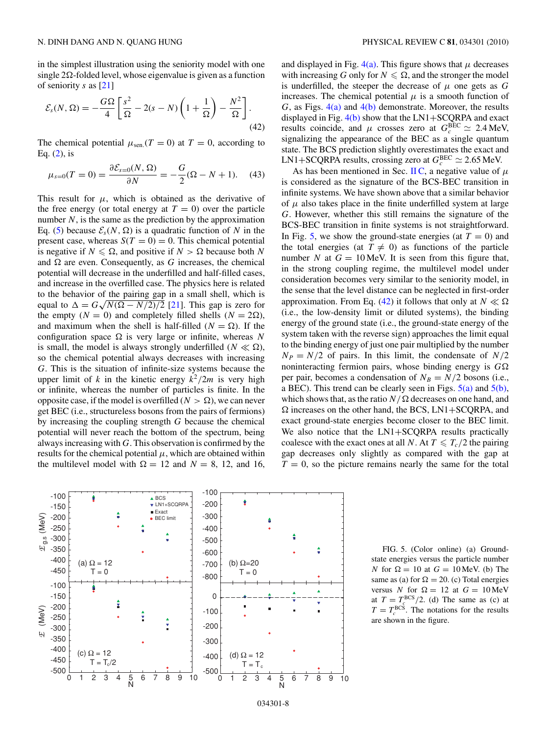in the simplest illustration using the seniority model with one single  $2\Omega$ -folded level, whose eigenvalue is given as a function of seniority *s* as [\[21\]](#page-8-0)

$$
\mathcal{E}_s(N,\Omega) = -\frac{G\Omega}{4} \left[ \frac{s^2}{\Omega} - 2(s - N) \left( 1 + \frac{1}{\Omega} \right) - \frac{N^2}{\Omega} \right].
$$
\n(42)

The chemical potential  $\mu_{\text{sen}}$ . $(T = 0)$  at  $T = 0$ , according to Eq.  $(2)$ , is

$$
\mu_{s=0}(T=0) = \frac{\partial \mathcal{E}_{s=0}(N,\,\Omega)}{\partial N} = -\frac{G}{2}(\Omega - N + 1). \tag{43}
$$

This result for  $\mu$ , which is obtained as the derivative of the free energy (or total energy at  $T = 0$ ) over the particle number  $N$ , is the same as the prediction by the approximation Eq. [\(5\)](#page-1-0) because  $\mathcal{E}_s(N, \Omega)$  is a quadratic function of N in the present case, whereas  $S(T = 0) = 0$ . This chemical potential is negative if  $N \le \Omega$ , and positive if  $N > \Omega$  because both N and  $\Omega$  are even. Consequently, as *G* increases, the chemical potential will decrease in the underfilled and half-filled cases, and increase in the overfilled case. The physics here is related to the behavior of the pairing gap in a small shell, which is equal to  $\Delta = G \sqrt{N(\Omega - N/2)/2}$  [\[21\]](#page-8-0). This gap is zero for the empty  $(N = 0)$  and completely filled shells  $(N = 2\Omega)$ , and maximum when the shell is half-filled ( $N = \Omega$ ). If the configuration space  $\Omega$  is very large or infinite, whereas N is small, the model is always strongly underfilled ( $N \ll \Omega$ ), so the chemical potential always decreases with increasing *G*. This is the situation of infinite-size systems because the upper limit of *k* in the kinetic energy  $k^2/2m$  is very high or infinite, whereas the number of particles is finite. In the opposite case, if the model is overfilled ( $N > \Omega$ ), we can never get BEC (i.e., structureless bosons from the pairs of fermions) by increasing the coupling strength *G* because the chemical potential will never reach the bottom of the spectrum, being always increasing with *G*. This observation is confirmed by the results for the chemical potential  $\mu$ , which are obtained within the multilevel model with  $\Omega = 12$  and  $N = 8$ , 12, and 16,

and displayed in Fig.  $4(a)$ . This figure shows that  $\mu$  decreases with increasing *G* only for  $N \leq \Omega$ , and the stronger the model is underfilled, the steeper the decrease of  $\mu$  one gets as  $G$ increases. The chemical potential  $\mu$  is a smooth function of *G*, as Figs. 4(a) and 4(b) demonstrate. Moreover, the results displayed in Fig.  $4(b)$  show that the LN1+SCQRPA and exact results coincide, and  $\mu$  crosses zero at  $G_c^{\text{BEC}} \simeq 2.4 \text{ MeV}$ , signalizing the appearance of the BEC as a single quantum state. The BCS prediction slightly overestimates the exact and  $LN1+SCQRPA$  results, crossing zero at  $G_c^{BEC} \simeq 2.65$  MeV.

As has been mentioned in Sec. [II C,](#page-4-0) a negative value of  $\mu$ is considered as the signature of the BCS-BEC transition in infinite systems. We have shown above that a similar behavior of  $\mu$  also takes place in the finite underfilled system at large *G*. However, whether this still remains the signature of the BCS-BEC transition in finite systems is not straightforward. In Fig. 5, we show the ground-state energies (at  $T = 0$ ) and the total energies (at  $T \neq 0$ ) as functions of the particle number *N* at  $G = 10$  MeV. It is seen from this figure that, in the strong coupling regime, the multilevel model under consideration becomes very similar to the seniority model, in the sense that the level distance can be neglected in first-order approximation. From Eq. (42) it follows that only at  $N \ll \Omega$ (i.e., the low-density limit or diluted systems), the binding energy of the ground state (i.e., the ground-state energy of the system taken with the reverse sign) approaches the limit equal to the binding energy of just one pair multiplied by the number  $N_P = N/2$  of pairs. In this limit, the condensate of  $N/2$ noninteracting fermion pairs, whose binding energy is  $G\Omega$ per pair, becomes a condensation of  $N_B = N/2$  bosons (i.e., a BEC). This trend can be clearly seen in Figs.  $5(a)$  and  $5(b)$ , which shows that, as the ratio  $N/\Omega$  decreases on one hand, and  $\Omega$  increases on the other hand, the BCS, LN1+SCQRPA, and exact ground-state energies become closer to the BEC limit. We also notice that the LN1+SCQRPA results practically coalesce with the exact ones at all *N*. At  $T \leq T_c/2$  the pairing gap decreases only slightly as compared with the gap at  $T = 0$ , so the picture remains nearly the same for the total



FIG. 5. (Color online) (a) Groundstate energies versus the particle number *N* for  $\Omega = 10$  at  $G = 10$  MeV. (b) The same as (a) for  $\Omega = 20$ . (c) Total energies versus *N* for  $\Omega = 12$  at  $G = 10 \text{ MeV}$ at  $T = T_c^{\text{BCS}}/2$ . (d) The same as (c) at  $T = T_c^{\text{BCS}}$ . The notations for the results are shown in the figure.